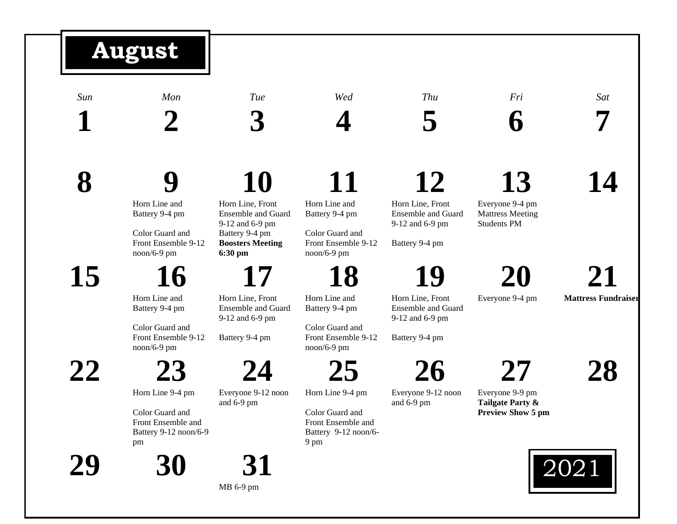## *Sun Mon Tue Wed Thu Fri Sat* **1 2 3 4 5 6 7 8 9** Horn Line and Battery 9-4 pm Color Guard and Front Ensemble 9-12 noon/6-9 pm **10** Horn Line, Front Ensemble and Guard 9-12 and 6-9 pm Battery 9-4 pm **Boosters Meeting 6:30 pm 11** Horn Line and Battery 9-4 pm Color Guard and Front Ensemble 9-12 noon/6-9 pm **12** Horn Line, Front Ensemble and Guard 9-12 and 6-9 pm Battery 9-4 pm **13** Everyone 9-4 pm Mattress Meeting Students PM **14 15 16** Horn Line and Battery 9-4 pm Color Guard and Front Ensemble 9-12 noon/6-9 pm **17** Horn Line, Front Ensemble and Guard 9-12 and 6-9 pm Battery 9-4 pm **18** Horn Line and Battery 9-4 pm Color Guard and Front Ensemble 9-12 noon/6-9 pm **19** Horn Line, Front Ensemble and Guard 9-12 and 6-9 pm Battery 9-4 pm **20** Everyone 9-4 pm **21 Mattress Fundraiser 22 23** Horn Line 9-4 pm Color Guard and Front Ensemble and Battery 9-12 noon/6-9 pm **24** Everyone 9-12 noon and 6-9 pm **25** Horn Line 9-4 pm Color Guard and Front Ensemble and Battery 9-12 noon/6- 9 pm **26** Everyone 9-12 noon and 6-9 pm **27** Everyone 9-9 pm **Tailgate Party & Preview Show 5 pm 28 29 30 31** 2021 **August**

MB 6-9 pm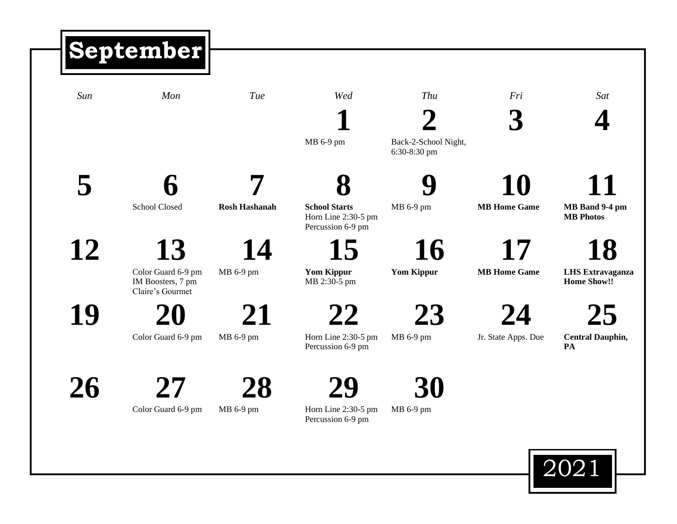## *Sun Mon Tue Wed Thu Fri Sat* **1** MB 6-9 pm **2** Back-2-School Night, 6:30-8:30 pm **3 4 5 6** School Closed **7 Rosh Hashanah 8 School Starts** Horn Line 2:30-5 pm Percussion 6-9 pm **9** MB 6-9 pm **10 MB Home Game 11 MB Band 9-4 pm MB Photos 12 13** Color Guard 6-9 pm IM Boosters, 7 pm Claire's Gourmet **14** MB 6-9 pm **15 Yom Kippur** MB 2:30-5 pm **16 Yom Kippur 17 MB Home Game 18 LHS Extravaganza Home Show!! 19 20** Color Guard 6-9 pm **21** MB 6-9 pm **22** Horn Line 2:30-5 pm Percussion 6-9 pm **23** MB 6-9 pm **24** Jr. State Apps. Due **25 Central Dauphin, PA 26 27 28 29 30 September**



Color Guard 6-9 pm

MB 6-9 pm

Percussion 6-9 pm

Horn Line 2:30-5 pm

MB 6-9 pm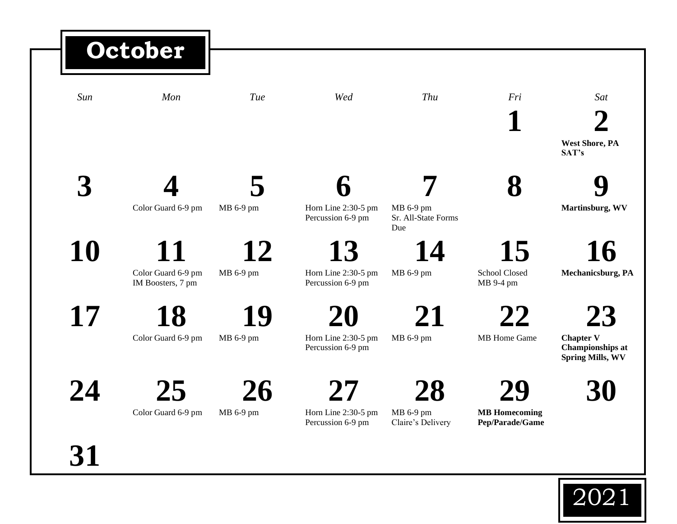## *Sun Mon Tue Wed Thu Fri Sat* **1 2 West Shore, PA SAT's 3 4** Color Guard 6-9 pm **5** MB 6-9 pm **6** Horn Line 2:30-5 pm Percussion 6-9 pm **7** MB 6-9 pm Sr. All-State Forms Due **8 9 Martinsburg, WV 10 11** Color Guard 6-9 pm IM Boosters, 7 pm **12** MB 6-9 pm **13** Horn Line 2:30-5 pm Percussion 6-9 pm **14** MB 6-9 pm **15** School Closed MB 9-4 pm **16 Mechanicsburg, PA 17 18** Color Guard 6-9 pm **19** MB 6-9 pm **20** Horn Line 2:30-5 pm Percussion 6-9 pm **21** MB 6-9 pm **22** MB Home Game **23 Chapter V Championships at Spring Mills, WV 24 25** Color Guard 6-9 pm **26** MB 6-9 pm **27** Horn Line 2:30-5 pm Percussion 6-9 pm **28** MB 6-9 pm Claire's Delivery **29 MB Homecoming Pep/Parade/Game 30 October**

**31**